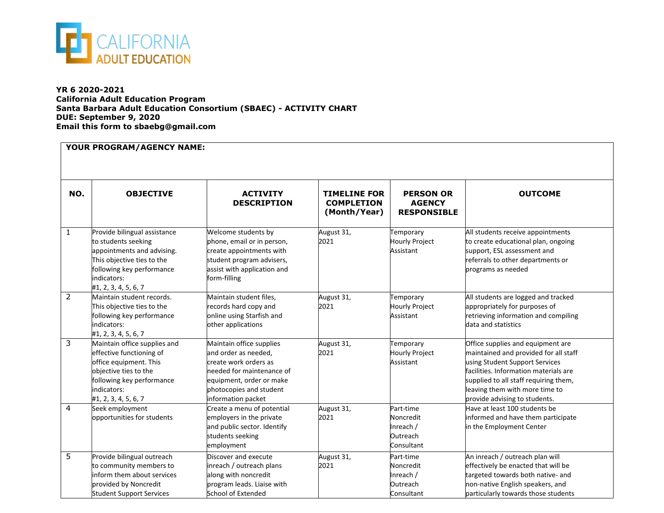

**YR 6 2020-2021 California Adult Education Program Santa Barbara Adult Education Consortium (SBAEC) - ACTIVITY CHART DUE: September 9, 2020 Email this form to sbaebg@gmail.com**

| NO.            | <b>OBJECTIVE</b>                                                                                                                                                                    | <b>ACTIVITY</b><br><b>DESCRIPTION</b>                                                                                                                                               | <b>TIMELINE FOR</b><br><b>COMPLETION</b><br>(Month/Year) | <b>PERSON OR</b><br><b>AGENCY</b><br><b>RESPONSIBLE</b>       | <b>OUTCOME</b>                                                                                                                                                                                                                                                    |
|----------------|-------------------------------------------------------------------------------------------------------------------------------------------------------------------------------------|-------------------------------------------------------------------------------------------------------------------------------------------------------------------------------------|----------------------------------------------------------|---------------------------------------------------------------|-------------------------------------------------------------------------------------------------------------------------------------------------------------------------------------------------------------------------------------------------------------------|
| $\mathbf{1}$   | Provide bilingual assistance<br>to students seeking<br>appointments and advising.<br>This objective ties to the<br>following key performance<br>indicators:<br>#1, 2, 3, 4, 5, 6, 7 | Welcome students by<br>phone, email or in person,<br>create appointments with<br>student program advisers,<br>assist with application and<br>form-filling                           | August 31,<br>2021                                       | Temporary<br><b>Hourly Project</b><br>Assistant               | All students receive appointments<br>to create educational plan, ongoing<br>support, ESL assessment and<br>referrals to other departments or<br>programs as needed                                                                                                |
| $\overline{2}$ | Maintain student records.<br>This objective ties to the<br>following key performance<br>indicators:<br>#1, 2, 3, 4, 5, 6, 7                                                         | Maintain student files,<br>records hard copy and<br>online using Starfish and<br>other applications                                                                                 | August 31,<br>2021                                       | Temporary<br><b>Hourly Project</b><br>Assistant               | All students are logged and tracked<br>appropriately for purposes of<br>retrieving information and compiling<br>data and statistics                                                                                                                               |
| 3              | Maintain office supplies and<br>effective functioning of<br>office equipment. This<br>objective ties to the<br>following key performance<br>indicators:<br>#1, 2, 3, 4, 5, 6, 7     | Maintain office supplies<br>and order as needed,<br>create work orders as<br>needed for maintenance of<br>equipment, order or make<br>photocopies and student<br>information packet | August 31,<br>2021                                       | Temporary<br>Hourly Project<br>Assistant                      | Office supplies and equipment are<br>maintained and provided for all staff<br>using Student Support Services<br>facilities. Information materials are<br>supplied to all staff requiring them,<br>leaving them with more time to<br>provide advising to students. |
| $\overline{4}$ | Seek employment<br>opportunities for students                                                                                                                                       | Create a menu of potential<br>employers in the private<br>and public sector. Identify<br>students seeking<br>employment                                                             | August 31,<br>2021                                       | Part-time<br>Noncredit<br>Inreach /<br>Outreach<br>Consultant | Have at least 100 students be<br>informed and have them participate<br>in the Employment Center                                                                                                                                                                   |
| 5              | Provide bilingual outreach<br>to community members to<br>inform them about services<br>provided by Noncredit<br><b>Student Support Services</b>                                     | Discover and execute<br>inreach / outreach plans<br>along with noncredit<br>program leads. Liaise with<br>School of Extended                                                        | August 31,<br>2021                                       | Part-time<br>Noncredit<br>Inreach /<br>Outreach<br>Consultant | An inreach / outreach plan will<br>effectively be enacted that will be<br>targeted towards both native- and<br>non-native English speakers, and<br>particularly towards those students                                                                            |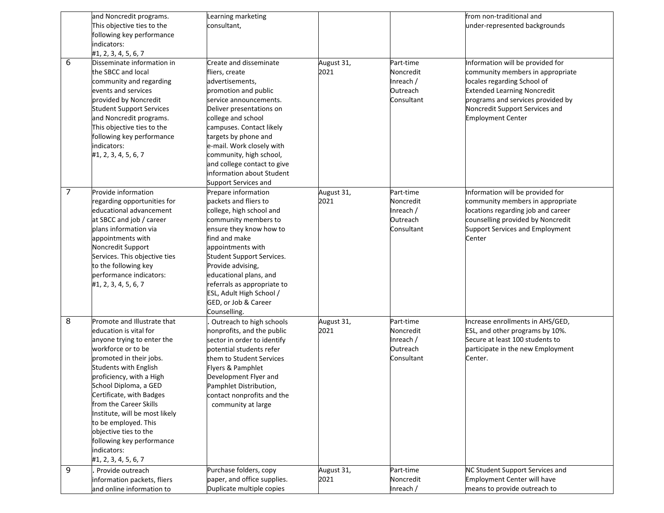|   | and Noncredit programs.         | Learning marketing                                       |            |            | from non-traditional and           |
|---|---------------------------------|----------------------------------------------------------|------------|------------|------------------------------------|
|   | This objective ties to the      | consultant,                                              |            |            | under-represented backgrounds      |
|   | following key performance       |                                                          |            |            |                                    |
|   | indicators:                     |                                                          |            |            |                                    |
|   | #1, 2, 3, 4, 5, 6, 7            |                                                          |            |            |                                    |
| 6 | Disseminate information in      | Create and disseminate                                   | August 31, | Part-time  | Information will be provided for   |
|   | the SBCC and local              | fliers, create                                           | 2021       | Noncredit  | community members in appropriate   |
|   | community and regarding         | advertisements,                                          |            | Inreach /  | locales regarding School of        |
|   | events and services             | promotion and public                                     |            | Outreach   | <b>Extended Learning Noncredit</b> |
|   | provided by Noncredit           | service announcements.                                   |            | Consultant | programs and services provided by  |
|   | <b>Student Support Services</b> | Deliver presentations on                                 |            |            | Noncredit Support Services and     |
|   | and Noncredit programs.         | college and school                                       |            |            | <b>Employment Center</b>           |
|   | This objective ties to the      | campuses. Contact likely                                 |            |            |                                    |
|   | following key performance       | targets by phone and                                     |            |            |                                    |
|   | indicators:                     | e-mail. Work closely with                                |            |            |                                    |
|   |                                 |                                                          |            |            |                                    |
|   | #1, 2, 3, 4, 5, 6, 7            | community, high school,                                  |            |            |                                    |
|   |                                 | and college contact to give<br>information about Student |            |            |                                    |
|   |                                 |                                                          |            |            |                                    |
|   |                                 | Support Services and                                     |            |            |                                    |
| 7 | Provide information             | Prepare information                                      | August 31, | Part-time  | Information will be provided for   |
|   | regarding opportunities for     | packets and fliers to                                    | 2021       | Noncredit  | community members in appropriate   |
|   | educational advancement         | college, high school and                                 |            | Inreach /  | locations regarding job and career |
|   | at SBCC and job / career        | community members to                                     |            | Outreach   | counselling provided by Noncredit  |
|   | plans information via           | ensure they know how to                                  |            | Consultant | Support Services and Employment    |
|   | appointments with               | find and make                                            |            |            | Center                             |
|   | Noncredit Support               | appointments with                                        |            |            |                                    |
|   | Services. This objective ties   | Student Support Services.                                |            |            |                                    |
|   | to the following key            | Provide advising,                                        |            |            |                                    |
|   | performance indicators:         | educational plans, and                                   |            |            |                                    |
|   | #1, 2, 3, 4, 5, 6, 7            | referrals as appropriate to                              |            |            |                                    |
|   |                                 | ESL, Adult High School /                                 |            |            |                                    |
|   |                                 | GED, or Job & Career                                     |            |            |                                    |
|   |                                 | Counselling.                                             |            |            |                                    |
| 8 | Promote and Illustrate that     | Outreach to high schools                                 | August 31, | Part-time  | Increase enrollments in AHS/GED,   |
|   | education is vital for          | nonprofits, and the public                               | 2021       | Noncredit  | ESL, and other programs by 10%.    |
|   | anyone trying to enter the      | sector in order to identify                              |            | Inreach /  | Secure at least 100 students to    |
|   | workforce or to be              | potential students refer                                 |            | Outreach   | participate in the new Employment  |
|   | promoted in their jobs.         | them to Student Services                                 |            | Consultant | Center.                            |
|   | <b>Students with English</b>    | Flyers & Pamphlet                                        |            |            |                                    |
|   | proficiency, with a High        | Development Flyer and                                    |            |            |                                    |
|   | School Diploma, a GED           | Pamphlet Distribution,                                   |            |            |                                    |
|   | Certificate, with Badges        | contact nonprofits and the                               |            |            |                                    |
|   | from the Career Skills          | community at large                                       |            |            |                                    |
|   | Institute, will be most likely  |                                                          |            |            |                                    |
|   | to be employed. This            |                                                          |            |            |                                    |
|   | objective ties to the           |                                                          |            |            |                                    |
|   | following key performance       |                                                          |            |            |                                    |
|   | indicators:                     |                                                          |            |            |                                    |
|   | #1, 2, 3, 4, 5, 6, 7            |                                                          |            |            |                                    |
| 9 | Provide outreach                | Purchase folders, copy                                   | August 31, | Part-time  | NC Student Support Services and    |
|   | information packets, fliers     | paper, and office supplies.                              | 2021       | Noncredit  | Employment Center will have        |
|   | and online information to       | Duplicate multiple copies                                |            | Inreach /  | means to provide outreach to       |
|   |                                 |                                                          |            |            |                                    |